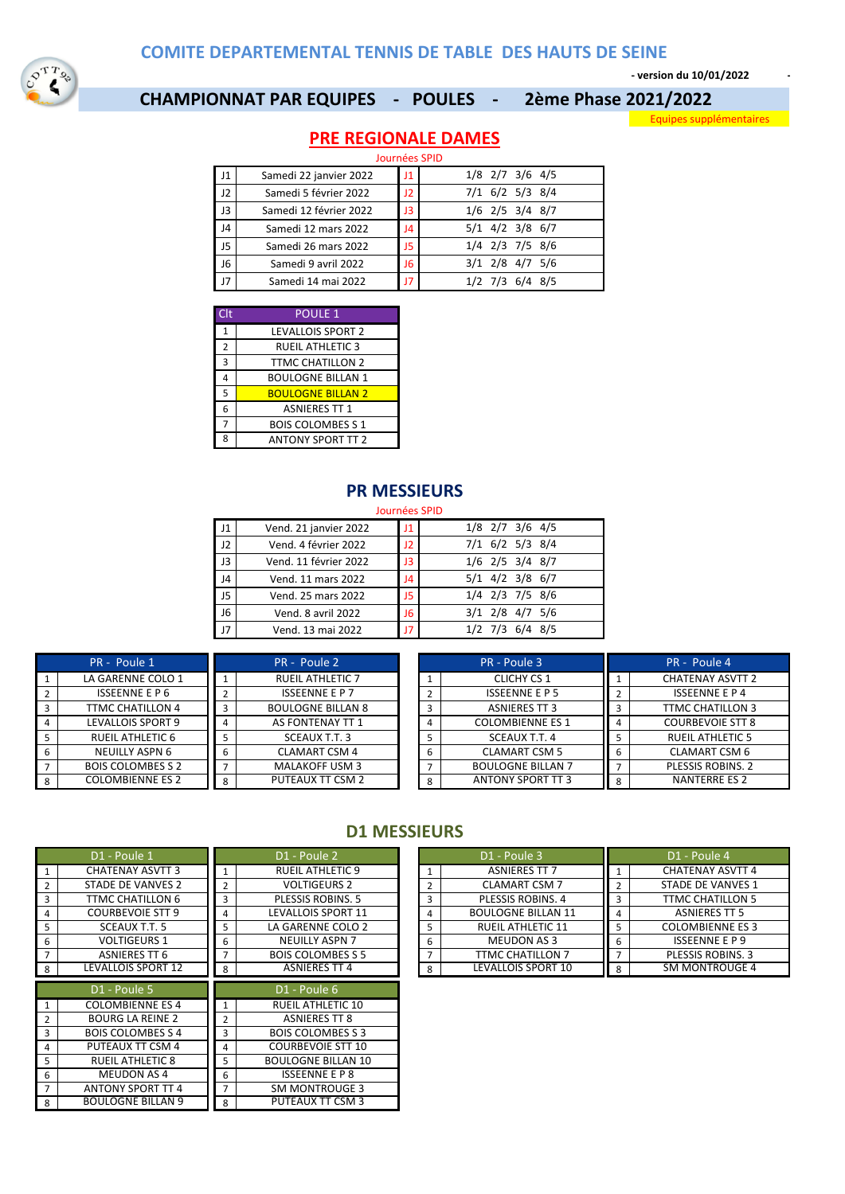**- version du 10/01/2022 -**

## **CHAMPIONNAT PAR EQUIPES - POULES - 2ème Phase 2021/2022**

Equipes supplémentaires

# **PRE REGIONALE DAMES**

|                | Journées SPID          |    |                         |  |  |  |  |  |
|----------------|------------------------|----|-------------------------|--|--|--|--|--|
| l J1           | Samedi 22 janvier 2022 | 11 | $1/8$ 2/7 3/6 4/5       |  |  |  |  |  |
| J2             | Samedi 5 février 2022  | J2 | $7/1$ 6/2 5/3 8/4       |  |  |  |  |  |
| $ $ J3         | Samedi 12 février 2022 | JЗ | $1/6$ $2/5$ $3/4$ $8/7$ |  |  |  |  |  |
| J <sub>4</sub> | Samedi 12 mars 2022    | J4 | $5/1$ 4/2 3/8 6/7       |  |  |  |  |  |
| $\sqrt{15}$    | Samedi 26 mars 2022    | J5 | $1/4$ $2/3$ 7/5 $8/6$   |  |  |  |  |  |
| <b>J6</b>      | Samedi 9 avril 2022    | J6 | $3/1$ $2/8$ $4/7$ $5/6$ |  |  |  |  |  |
| 17             | Samedi 14 mai 2022     | 17 | $1/2$ 7/3 6/4 8/5       |  |  |  |  |  |

| Clt            | <b>POULE 1</b>           |
|----------------|--------------------------|
| 1              | <b>LEVALLOIS SPORT 2</b> |
| $\overline{2}$ | <b>RUEIL ATHLETIC 3</b>  |
| 3              | <b>TTMC CHATILLON 2</b>  |
|                | <b>BOULOGNE BILLAN 1</b> |
| 5              | <b>BOULOGNE BILLAN 2</b> |
| 6              | <b>ASNIERES TT 1</b>     |
|                | <b>BOIS COLOMBES S 1</b> |
| Ջ              | <b>ANTONY SPORT TT 2</b> |

#### **PR MESSIEURS**

#### Journées SPID

| 11          | Vend. 21 janvier 2022 | J1 | $1/8$ $2/7$ $3/6$ $4/5$ |
|-------------|-----------------------|----|-------------------------|
| 12          | Vend. 4 février 2022  | J2 | $7/1$ 6/2 5/3 8/4       |
| J3          | Vend. 11 février 2022 | JЗ | $1/6$ $2/5$ $3/4$ $8/7$ |
| J4          | Vend. 11 mars 2022    | J4 | $5/1$ 4/2 3/8 6/7       |
| J5          | Vend. 25 mars 2022    | J5 | $1/4$ $2/3$ 7/5 8/6     |
| J6          | Vend. 8 avril 2022    | J6 | $3/1$ $2/8$ $4/7$ $5/6$ |
| $_{\rm J7}$ | Vend. 13 mai 2022     | J7 | $1/2$ 7/3 6/4 8/5       |
|             |                       |    |                         |

| PR - Poule 1             | PR - Poule 3<br>PR - Poule 2 |                          | PR - Poule 4 |                          |   |                         |
|--------------------------|------------------------------|--------------------------|--------------|--------------------------|---|-------------------------|
| LA GARENNE COLO 1        |                              | <b>RUEIL ATHLETIC 7</b>  |              | <b>CLICHY CS 1</b>       |   | <b>CHATENAY ASVTT 2</b> |
| <b>ISSEENNE E P 6</b>    |                              | <b>ISSEENNE E P 7</b>    |              | <b>ISSEENNE E P 5</b>    |   | <b>ISSEENNE E P 4</b>   |
| TTMC CHATILLON 4         |                              | <b>BOULOGNE BILLAN 8</b> |              | <b>ASNIERES TT 3</b>     |   | TTMC CHATILLON 3        |
| LEVALLOIS SPORT 9        |                              | AS FONTENAY TT 1         |              | <b>COLOMBIENNE ES 1</b>  |   | <b>COURBEVOIE STT 8</b> |
| <b>RUEIL ATHLETIC 6</b>  |                              | SCEAUX T.T. 3            |              | SCEAUX T.T. 4            |   | <b>RUEIL ATHLETIC 5</b> |
| <b>NEUILLY ASPN 6</b>    | ь                            | <b>CLAMART CSM 4</b>     | O            | <b>CLAMART CSM 5</b>     |   | <b>CLAMART CSM 6</b>    |
| <b>BOIS COLOMBES S 2</b> |                              | <b>MALAKOFF USM 3</b>    |              | <b>BOULOGNE BILLAN 7</b> |   | PLESSIS ROBINS, 2       |
| <b>COLOMBIENNE ES 2</b>  | 8                            | PUTEAUX TT CSM 2         | 8            | <b>ANTONY SPORT TT 3</b> | 8 | NANTERRE ES 2           |

#### **D1 MESSIEURS**

| D1 - Poule 1<br>D1 - Poule 2<br>D1 - Poule 3<br>D1 - Poule 4<br><b>CHATENAY ASVTT 4</b><br><b>CHATENAY ASVTT 3</b><br><b>RUEIL ATHLETIC 9</b><br><b>ASNIERES TT 7</b><br>1<br>$\mathbf{1}$<br>STADE DE VANVES 2<br><b>VOLTIGEURS 2</b><br><b>CLAMART CSM 7</b><br><b>STADE DE VANVES 1</b><br>$\overline{2}$<br>$\overline{2}$<br>$\overline{2}$<br>2<br>TTMC CHATILLON 6<br><b>PLESSIS ROBINS, 5</b><br>PLESSIS ROBINS, 4<br><b>TTMC CHATILLON 5</b><br>$\overline{\mathbf{3}}$<br>3<br>3<br>3<br><b>COURBEVOIE STT 9</b><br><b>LEVALLOIS SPORT 11</b><br><b>BOULOGNE BILLAN 11</b><br><b>ASNIERES TT 5</b><br>$\overline{4}$<br>4<br>4<br>4<br><b>COLOMBIENNE ES 3</b><br>SCEAUX T.T. 5<br>LA GARENNE COLO 2<br><b>RUEIL ATHLETIC 11</b><br>5<br>5<br>5<br>5<br><b>VOLTIGEURS 1</b><br><b>NEUILLY ASPN 7</b><br><b>MEUDON AS 3</b><br><b>ISSEENNE E P 9</b><br>6<br>6<br>6<br>6<br>ASNIERES TT 6<br><b>BOIS COLOMBES S 5</b><br>PLESSIS ROBINS, 3<br>TTMC CHATILLON 7<br>LEVALLOIS SPORT 10<br>SM MONTROUGE 4<br><b>LEVALLOIS SPORT 12</b><br><b>ASNIERES TT 4</b><br>- 8<br>8<br>8<br>8<br>D1 - Poule 5<br>D1 - Poule 6<br><b>COLOMBIENNE ES 4</b><br><b>RUEIL ATHLETIC 10</b><br><b>BOURG LA REINE 2</b><br><b>ASNIERES TT 8</b><br><b>BOIS COLOMBES S 4</b><br><b>BOIS COLOMBES S 3</b><br>$\overline{3}$<br>3<br>PUTEAUX TT CSM 4<br><b>COURBEVOIE STT 10</b><br>$\overline{4}$<br>4<br><b>BOULOGNE BILLAN 10</b><br><b>RUEIL ATHLETIC 8</b><br>5<br>5<br><b>ISSEENNE E P 8</b><br><b>MEUDON AS 4</b><br>6<br>6<br><b>ANTONY SPORT TT 4</b><br><b>SM MONTROUGE 3</b><br>$\overline{7}$<br>$\overline{7}$<br><b>BOULOGNE BILLAN 9</b><br>PUTEAUX TT CSM 3<br>8<br>8 |  |  |  |  |  |
|--------------------------------------------------------------------------------------------------------------------------------------------------------------------------------------------------------------------------------------------------------------------------------------------------------------------------------------------------------------------------------------------------------------------------------------------------------------------------------------------------------------------------------------------------------------------------------------------------------------------------------------------------------------------------------------------------------------------------------------------------------------------------------------------------------------------------------------------------------------------------------------------------------------------------------------------------------------------------------------------------------------------------------------------------------------------------------------------------------------------------------------------------------------------------------------------------------------------------------------------------------------------------------------------------------------------------------------------------------------------------------------------------------------------------------------------------------------------------------------------------------------------------------------------------------------------------------------------------------------------------------------------------------------------------|--|--|--|--|--|
|                                                                                                                                                                                                                                                                                                                                                                                                                                                                                                                                                                                                                                                                                                                                                                                                                                                                                                                                                                                                                                                                                                                                                                                                                                                                                                                                                                                                                                                                                                                                                                                                                                                                          |  |  |  |  |  |
|                                                                                                                                                                                                                                                                                                                                                                                                                                                                                                                                                                                                                                                                                                                                                                                                                                                                                                                                                                                                                                                                                                                                                                                                                                                                                                                                                                                                                                                                                                                                                                                                                                                                          |  |  |  |  |  |
|                                                                                                                                                                                                                                                                                                                                                                                                                                                                                                                                                                                                                                                                                                                                                                                                                                                                                                                                                                                                                                                                                                                                                                                                                                                                                                                                                                                                                                                                                                                                                                                                                                                                          |  |  |  |  |  |
|                                                                                                                                                                                                                                                                                                                                                                                                                                                                                                                                                                                                                                                                                                                                                                                                                                                                                                                                                                                                                                                                                                                                                                                                                                                                                                                                                                                                                                                                                                                                                                                                                                                                          |  |  |  |  |  |
|                                                                                                                                                                                                                                                                                                                                                                                                                                                                                                                                                                                                                                                                                                                                                                                                                                                                                                                                                                                                                                                                                                                                                                                                                                                                                                                                                                                                                                                                                                                                                                                                                                                                          |  |  |  |  |  |
|                                                                                                                                                                                                                                                                                                                                                                                                                                                                                                                                                                                                                                                                                                                                                                                                                                                                                                                                                                                                                                                                                                                                                                                                                                                                                                                                                                                                                                                                                                                                                                                                                                                                          |  |  |  |  |  |
|                                                                                                                                                                                                                                                                                                                                                                                                                                                                                                                                                                                                                                                                                                                                                                                                                                                                                                                                                                                                                                                                                                                                                                                                                                                                                                                                                                                                                                                                                                                                                                                                                                                                          |  |  |  |  |  |
|                                                                                                                                                                                                                                                                                                                                                                                                                                                                                                                                                                                                                                                                                                                                                                                                                                                                                                                                                                                                                                                                                                                                                                                                                                                                                                                                                                                                                                                                                                                                                                                                                                                                          |  |  |  |  |  |
|                                                                                                                                                                                                                                                                                                                                                                                                                                                                                                                                                                                                                                                                                                                                                                                                                                                                                                                                                                                                                                                                                                                                                                                                                                                                                                                                                                                                                                                                                                                                                                                                                                                                          |  |  |  |  |  |
|                                                                                                                                                                                                                                                                                                                                                                                                                                                                                                                                                                                                                                                                                                                                                                                                                                                                                                                                                                                                                                                                                                                                                                                                                                                                                                                                                                                                                                                                                                                                                                                                                                                                          |  |  |  |  |  |
|                                                                                                                                                                                                                                                                                                                                                                                                                                                                                                                                                                                                                                                                                                                                                                                                                                                                                                                                                                                                                                                                                                                                                                                                                                                                                                                                                                                                                                                                                                                                                                                                                                                                          |  |  |  |  |  |
|                                                                                                                                                                                                                                                                                                                                                                                                                                                                                                                                                                                                                                                                                                                                                                                                                                                                                                                                                                                                                                                                                                                                                                                                                                                                                                                                                                                                                                                                                                                                                                                                                                                                          |  |  |  |  |  |
|                                                                                                                                                                                                                                                                                                                                                                                                                                                                                                                                                                                                                                                                                                                                                                                                                                                                                                                                                                                                                                                                                                                                                                                                                                                                                                                                                                                                                                                                                                                                                                                                                                                                          |  |  |  |  |  |
|                                                                                                                                                                                                                                                                                                                                                                                                                                                                                                                                                                                                                                                                                                                                                                                                                                                                                                                                                                                                                                                                                                                                                                                                                                                                                                                                                                                                                                                                                                                                                                                                                                                                          |  |  |  |  |  |
|                                                                                                                                                                                                                                                                                                                                                                                                                                                                                                                                                                                                                                                                                                                                                                                                                                                                                                                                                                                                                                                                                                                                                                                                                                                                                                                                                                                                                                                                                                                                                                                                                                                                          |  |  |  |  |  |
|                                                                                                                                                                                                                                                                                                                                                                                                                                                                                                                                                                                                                                                                                                                                                                                                                                                                                                                                                                                                                                                                                                                                                                                                                                                                                                                                                                                                                                                                                                                                                                                                                                                                          |  |  |  |  |  |
|                                                                                                                                                                                                                                                                                                                                                                                                                                                                                                                                                                                                                                                                                                                                                                                                                                                                                                                                                                                                                                                                                                                                                                                                                                                                                                                                                                                                                                                                                                                                                                                                                                                                          |  |  |  |  |  |
|                                                                                                                                                                                                                                                                                                                                                                                                                                                                                                                                                                                                                                                                                                                                                                                                                                                                                                                                                                                                                                                                                                                                                                                                                                                                                                                                                                                                                                                                                                                                                                                                                                                                          |  |  |  |  |  |

|   | D1 - Poule 3              |                | D1 - Poule 4             |
|---|---------------------------|----------------|--------------------------|
|   | <b>ASNIERES TT 7</b>      |                | <b>CHATENAY ASVTT 4</b>  |
| 2 | <b>CLAMART CSM 7</b>      | $\overline{2}$ | <b>STADE DE VANVES 1</b> |
| 3 | <b>PLESSIS ROBINS, 4</b>  | 3              | <b>TTMC CHATILLON 5</b>  |
|   | <b>BOULOGNE BILLAN 11</b> | 4              | <b>ASNIERES TT 5</b>     |
| 5 | <b>RUEIL ATHLETIC 11</b>  | 5              | <b>COLOMBIENNE ES 3</b>  |
| 6 | <b>MEUDON AS 3</b>        | 6              | <b>ISSEENNE E P 9</b>    |
|   | TTMC CHATILLON 7          |                | <b>PLESSIS ROBINS, 3</b> |
| 8 | <b>LEVALLOIS SPORT 10</b> | 8              | <b>SM MONTROUGE 4</b>    |
|   |                           |                |                          |